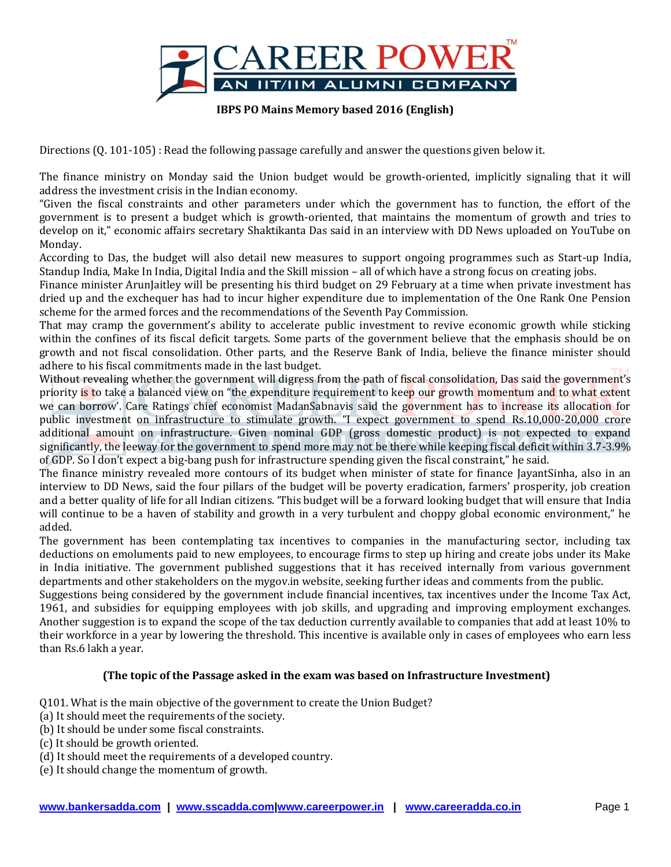

**IBPS PO Mains Memory based 2016 (English)**

Directions (Q. 101-105) : Read the following passage carefully and answer the questions given below it.

The finance ministry on Monday said the Union budget would be growth-oriented, implicitly signaling that it will address the investment crisis in the Indian economy.

"Given the fiscal constraints and other parameters under which the government has to function, the effort of the government is to present a budget which is growth-oriented, that maintains the momentum of growth and tries to develop on it," economic affairs secretary Shaktikanta Das said in an interview with DD News uploaded on YouTube on Monday.

According to Das, the budget will also detail new measures to support ongoing programmes such as Start-up India, Standup India, Make In India, Digital India and the Skill mission – all of which have a strong focus on creating jobs.

Finance minister ArunJaitley will be presenting his third budget on 29 February at a time when private investment has dried up and the exchequer has had to incur higher expenditure due to implementation of the One Rank One Pension scheme for the armed forces and the recommendations of the Seventh Pay Commission.

That may cramp the government's ability to accelerate public investment to revive economic growth while sticking within the confines of its fiscal deficit targets. Some parts of the government believe that the emphasis should be on growth and not fiscal consolidation. Other parts, and the Reserve Bank of India, believe the finance minister should adhere to his fiscal commitments made in the last budget.

Without revealing whether the government will digress from the path of fiscal consolidation, Das said the government's priority is to take a balanced view on "the expenditure requirement to keep our growth momentum and to what extent we can borrow'. Care Ratings chief economist MadanSabnavis said the government has to increase its allocation for public investment on infrastructure to stimulate growth. "I expect government to spend Rs.10,000-20,000 crore additional amount on infrastructure. Given nominal GDP (gross domestic product) is not expected to expand significantly, the leeway for the government to spend more may not be there while keeping fiscal deficit within 3.7-3.9% of GDP. So I don't expect a big-bang push for infrastructure spending given the fiscal constraint," he said.

The finance ministry revealed more contours of its budget when minister of state for finance JayantSinha, also in an interview to DD News, said the four pillars of the budget will be poverty eradication, farmers' prosperity, job creation and a better quality of life for all Indian citizens. 'This budget will be a forward looking budget that will ensure that India will continue to be a haven of stability and growth in a very turbulent and choppy global economic environment," he added.

The government has been contemplating tax incentives to companies in the manufacturing sector, including tax deductions on emoluments paid to new employees, to encourage firms to step up hiring and create jobs under its Make in India initiative. The government published suggestions that it has received internally from various government departments and other stakeholders on the mygov.in website, seeking further ideas and comments from the public.

Suggestions being considered by the government include financial incentives, tax incentives under the Income Tax Act, 1961, and subsidies for equipping employees with job skills, and upgrading and improving employment exchanges. Another suggestion is to expand the scope of the tax deduction currently available to companies that add at least 10% to their workforce in a year by lowering the threshold. This incentive is available only in cases of employees who earn less than Rs.6 lakh a year.

#### **(The topic of the Passage asked in the exam was based on Infrastructure Investment)**

Q101. What is the main objective of the government to create the Union Budget?

- (a) It should meet the requirements of the society.
- (b) It should be under some fiscal constraints.
- (c) It should be growth oriented.
- (d) It should meet the requirements of a developed country.

(e) It should change the momentum of growth.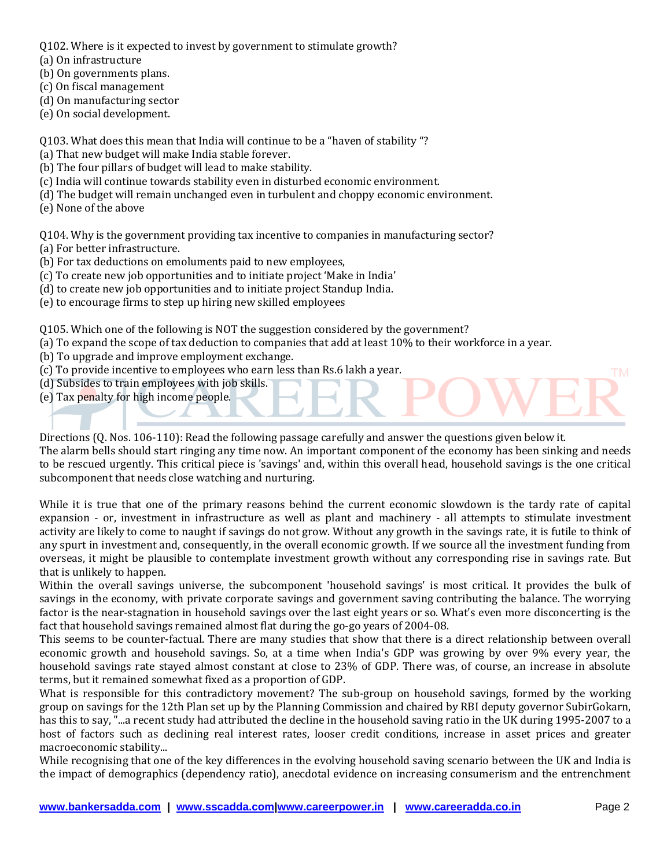Q102. Where is it expected to invest by government to stimulate growth?

- (a) On infrastructure
- (b) On governments plans.
- (c) On fiscal management

(d) On manufacturing sector

(e) On social development.

Q103. What does this mean that India will continue to be a "haven of stability "?

- (a) That new budget will make India stable forever.
- (b) The four pillars of budget will lead to make stability.
- (c) India will continue towards stability even in disturbed economic environment.
- (d) The budget will remain unchanged even in turbulent and choppy economic environment.
- (e) None of the above

Q104. Why is the government providing tax incentive to companies in manufacturing sector? (a) For better infrastructure.

- (b) For tax deductions on emoluments paid to new employees,
- (c) To create new job opportunities and to initiate project 'Make in India'
- (d) to create new job opportunities and to initiate project Standup India.
- (e) to encourage firms to step up hiring new skilled employees

Q105. Which one of the following is NOT the suggestion considered by the government?

- (a) To expand the scope of tax deduction to companies that add at least 10% to their workforce in a year.
- (b) To upgrade and improve employment exchange.
- (c) To provide incentive to employees who earn less than Rs.6 lakh a year.
- (d) Subsides to train employees with job skills.
- (e) Tax penalty for high income people.

Directions (Q. Nos. 106-110): Read the following passage carefully and answer the questions given below it. The alarm bells should start ringing any time now. An important component of the economy has been sinking and needs to be rescued urgently. This critical piece is 'savings' and, within this overall head, household savings is the one critical subcomponent that needs close watching and nurturing.

While it is true that one of the primary reasons behind the current economic slowdown is the tardy rate of capital expansion - or, investment in infrastructure as well as plant and machinery - all attempts to stimulate investment activity are likely to come to naught if savings do not grow. Without any growth in the savings rate, it is futile to think of any spurt in investment and, consequently, in the overall economic growth. If we source all the investment funding from overseas, it might be plausible to contemplate investment growth without any corresponding rise in savings rate. But that is unlikely to happen.

Within the overall savings universe, the subcomponent 'household savings' is most critical. It provides the bulk of savings in the economy, with private corporate savings and government saving contributing the balance. The worrying factor is the near-stagnation in household savings over the last eight years or so. What's even more disconcerting is the fact that household savings remained almost flat during the go-go years of 2004-08.

This seems to be counter-factual. There are many studies that show that there is a direct relationship between overall economic growth and household savings. So, at a time when India's GDP was growing by over 9% every year, the household savings rate stayed almost constant at close to 23% of GDP. There was, of course, an increase in absolute terms, but it remained somewhat fixed as a proportion of GDP.

What is responsible for this contradictory movement? The sub-group on household savings, formed by the working group on savings for the 12th Plan set up by the Planning Commission and chaired by RBI deputy governor SubirGokarn, has this to say, "...a recent study had attributed the decline in the household saving ratio in the UK during 1995-2007 to a host of factors such as declining real interest rates, looser credit conditions, increase in asset prices and greater macroeconomic stability...

While recognising that one of the key differences in the evolving household saving scenario between the UK and India is the impact of demographics (dependency ratio), anecdotal evidence on increasing consumerism and the entrenchment

**TM**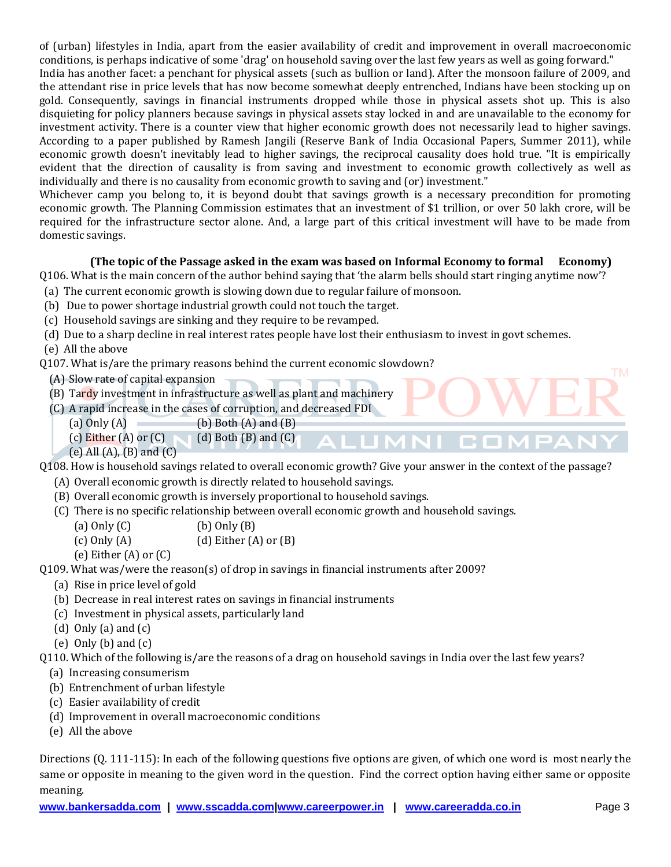of (urban) lifestyles in India, apart from the easier availability of credit and improvement in overall macroeconomic conditions, is perhaps indicative of some 'drag' on household saving over the last few years as well as going forward." India has another facet: a penchant for physical assets (such as bullion or land). After the monsoon failure of 2009, and the attendant rise in price levels that has now become somewhat deeply entrenched, Indians have been stocking up on gold. Consequently, savings in financial instruments dropped while those in physical assets shot up. This is also disquieting for policy planners because savings in physical assets stay locked in and are unavailable to the economy for investment activity. There is a counter view that higher economic growth does not necessarily lead to higher savings. According to a paper published by Ramesh Jangili (Reserve Bank of India Occasional Papers, Summer 2011), while economic growth doesn't inevitably lead to higher savings, the reciprocal causality does hold true. "It is empirically evident that the direction of causality is from saving and investment to economic growth collectively as well as individually and there is no causality from economic growth to saving and (or) investment."

Whichever camp you belong to, it is beyond doubt that savings growth is a necessary precondition for promoting economic growth. The Planning Commission estimates that an investment of \$1 trillion, or over 50 lakh crore, will be required for the infrastructure sector alone. And, a large part of this critical investment will have to be made from domestic savings.

#### **(The topic of the Passage asked in the exam was based on Informal Economy to formal Economy)**

Q106. What is the main concern of the author behind saying that 'the alarm bells should start ringing anytime now'?

- (a) The current economic growth is slowing down due to regular failure of monsoon.
- (b) Due to power shortage industrial growth could not touch the target.
- (c) Household savings are sinking and they require to be revamped.
- (d) Due to a sharp decline in real interest rates people have lost their enthusiasm to invest in govt schemes.

(e) All the above

Q107. What is/are the primary reasons behind the current economic slowdown?

- (A) Slow rate of capital expansion
- (B) Tardy investment in infrastructure as well as plant and machinery
- (C) A rapid increase in the cases of corruption, and decreased FDI
	- (a)  $Only (A)$  (b) Both  $(A)$  and  $(B)$
	- (c) Either  $(A)$  or  $(C)$  (d) Both  $(B)$  and  $(C)$

(e) All  $(A)$ ,  $(B)$  and  $(C)$ 

Q108. How is household savings related to overall economic growth? Give your answer in the context of the passage?

- (A) Overall economic growth is directly related to household savings.
- (B) Overall economic growth is inversely proportional to household savings.
- (C) There is no specific relationship between overall economic growth and household savings.
	- (a)  $Only (C)$  (b)  $Only (B)$

(c) Only  $(A)$  (d) Either  $(A)$  or  $(B)$ 

(e) Either (A) or (C)

Q109. What was/were the reason(s) of drop in savings in financial instruments after 2009?

- (a) Rise in price level of gold
- (b) Decrease in real interest rates on savings in financial instruments
- (c) Investment in physical assets, particularly land
- (d) Only (a) and  $(c)$
- (e) Only (b) and (c)

Q110. Which of the following is/are the reasons of a drag on household savings in India over the last few years?

- (a) Increasing consumerism
- (b) Entrenchment of urban lifestyle
- (c) Easier availability of credit
- (d) Improvement in overall macroeconomic conditions
- (e) All the above

Directions (Q. 111-115): In each of the following questions five options are given, of which one word is most nearly the same or opposite in meaning to the given word in the question. Find the correct option having either same or opposite meaning.

**TM**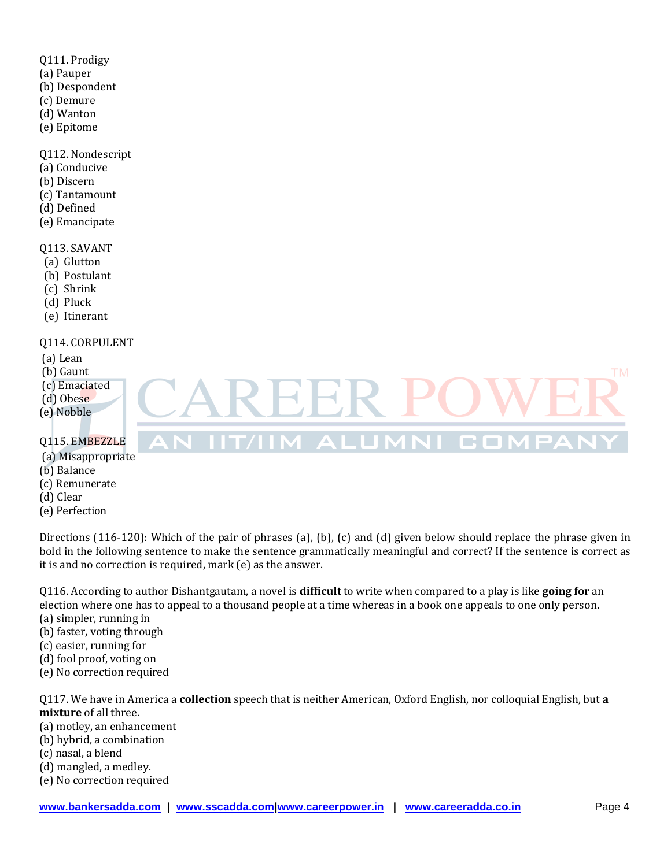- Q111. Prodigy
- (a) Pauper
- (b) Despondent
- (c) Demure
- (d) Wanton
- (e) Epitome

Q112. Nondescript

- (a) Conducive
- (b) Discern
- (c) Tantamount
- (d) Defined
- (e) Emancipate

#### Q113. SAVANT

- (a) Glutton
- (b) Postulant
- (c) Shrink
- (d) Pluck
- (e) Itinerant

## Q114. CORPULENT

- (a) Lean
- (b) Gaunt
- (c) Emaciated
- (d) Obese
- (e) Nobble

# Q115. EMBEZZLE

### (a) Misappropriate

- (b) Balance
- (c) Remunerate
- (d) Clear
- (e) Perfection

Directions (116-120): Which of the pair of phrases (a), (b), (c) and (d) given below should replace the phrase given in bold in the following sentence to make the sentence grammatically meaningful and correct? If the sentence is correct as it is and no correction is required, mark (e) as the answer.

 $\blacksquare$   $\blacksquare$   $\blacksquare$ 

Q116. According to author Dishantgautam, a novel is **difficult** to write when compared to a play is like **going for** an election where one has to appeal to a thousand people at a time whereas in a book one appeals to one only person.

- (a) simpler, running in
- (b) faster, voting through
- (c) easier, running for
- (d) fool proof, voting on
- (e) No correction required

Q117. We have in America a **collection** speech that is neither American, Oxford English, nor colloquial English, but **a mixture** of all three.

- (a) motley, an enhancement
- (b) hybrid, a combination
- (c) nasal, a blend
- (d) mangled, a medley.
- (e) No correction required

**TM** 

COM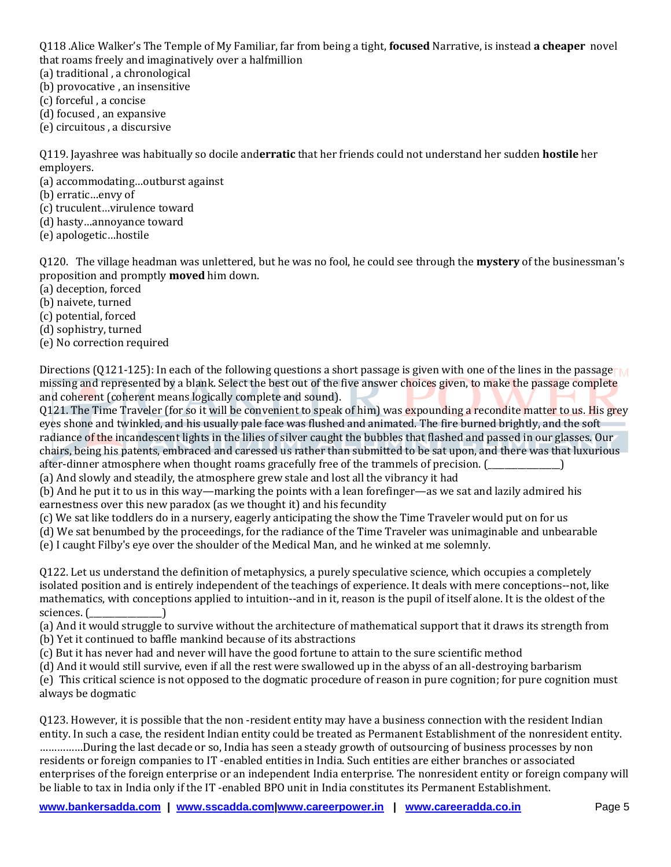Q118 .Alice Walker's The Temple of My Familiar, far from being a tight, **focused** Narrative, is instead **a cheaper** novel that roams freely and imaginatively over a halfmillion

- (a) traditional , a chronological
- (b) provocative , an insensitive
- (c) forceful , a concise
- (d) focused , an expansive
- (e) circuitous , a discursive

Q119. Jayashree was habitually so docile and**erratic** that her friends could not understand her sudden **hostile** her employers.

- (a) accommodating…outburst against
- (b) erratic…envy of
- (c) truculent…virulence toward
- (d) hasty…annoyance toward
- (e) apologetic…hostile

Q120. The village headman was unlettered, but he was no fool, he could see through the **mystery** of the businessman's proposition and promptly **moved** him down.

- (a) deception, forced
- (b) naivete, turned
- (c) potential, forced
- (d) sophistry, turned
- (e) No correction required

Directions (Q121-125): In each of the following questions a short passage is given with one of the lines in the passage  $\Gamma$ missing and represented by a blank. Select the best out of the five answer choices given, to make the passage complete and coherent (coherent means logically complete and sound).

Q121. The Time Traveler (for so it will be convenient to speak of him) was expounding a recondite matter to us. His grey eyes shone and twinkled, and his usually pale face was flushed and animated. The fire burned brightly, and the soft radiance of the incandescent lights in the lilies of silver caught the bubbles that flashed and passed in our glasses. Our chairs, being his patents, embraced and caressed us rather than submitted to be sat upon, and there was that luxurious after-dinner atmosphere when thought roams gracefully free of the trammels of precision. ( $\qquad \qquad$ )

(a) And slowly and steadily, the atmosphere grew stale and lost all the vibrancy it had

(b) And he put it to us in this way—marking the points with a lean forefinger—as we sat and lazily admired his earnestness over this new paradox (as we thought it) and his fecundity

(c) We sat like toddlers do in a nursery, eagerly anticipating the show the Time Traveler would put on for us

- (d) We sat benumbed by the proceedings, for the radiance of the Time Traveler was unimaginable and unbearable
- (e) I caught Filby's eye over the shoulder of the Medical Man, and he winked at me solemnly.

Q122. Let us understand the definition of metaphysics, a purely speculative science, which occupies a completely isolated position and is entirely independent of the teachings of experience. It deals with mere conceptions--not, like mathematics, with conceptions applied to intuition--and in it, reason is the pupil of itself alone. It is the oldest of the sciences. (\_\_\_\_\_\_\_\_\_\_\_\_\_\_\_\_\_)

(a) And it would struggle to survive without the architecture of mathematical support that it draws its strength from (b) Yet it continued to baffle mankind because of its abstractions

(c) But it has never had and never will have the good fortune to attain to the sure scientific method

(d) And it would still survive, even if all the rest were swallowed up in the abyss of an all-destroying barbarism

(e) This critical science is not opposed to the dogmatic procedure of reason in pure cognition; for pure cognition must always be dogmatic

Q123. However, it is possible that the non -resident entity may have a business connection with the resident Indian entity. In such a case, the resident Indian entity could be treated as Permanent Establishment of the nonresident entity. ……………During the last decade or so, India has seen a steady growth of outsourcing of business processes by non residents or foreign companies to IT -enabled entities in India. Such entities are either branches or associated enterprises of the foreign enterprise or an independent India enterprise. The nonresident entity or foreign company will be liable to tax in India only if the IT -enabled BPO unit in India constitutes its Permanent Establishment.

**www.bankersadda.com | www.sscadda.com|www.careerpower.in | www.careeradda.co.in** Page 5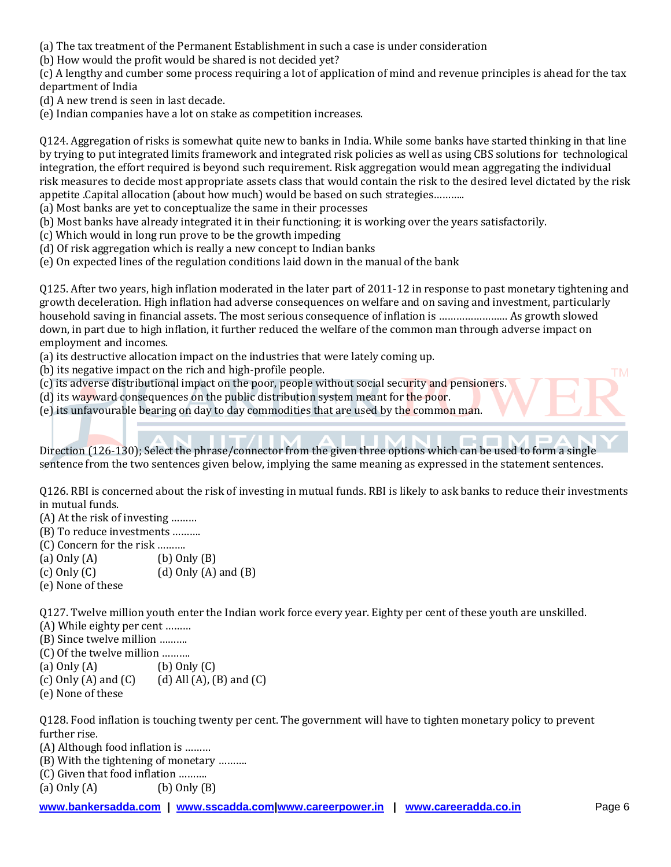(a) The tax treatment of the Permanent Establishment in such a case is under consideration

(b) How would the profit would be shared is not decided yet?

(c) A lengthy and cumber some process requiring a lot of application of mind and revenue principles is ahead for the tax department of India

- (d) A new trend is seen in last decade.
- (e) Indian companies have a lot on stake as competition increases.

Q124. Aggregation of risks is somewhat quite new to banks in India. While some banks have started thinking in that line by trying to put integrated limits framework and integrated risk policies as well as using CBS solutions for technological integration, the effort required is beyond such requirement. Risk aggregation would mean aggregating the individual risk measures to decide most appropriate assets class that would contain the risk to the desired level dictated by the risk appetite .Capital allocation (about how much) would be based on such strategies………..

- (a) Most banks are yet to conceptualize the same in their processes
- (b) Most banks have already integrated it in their functioning; it is working over the years satisfactorily.
- (c) Which would in long run prove to be the growth impeding
- (d) Of risk aggregation which is really a new concept to Indian banks
- (e) On expected lines of the regulation conditions laid down in the manual of the bank

Q125. After two years, high inflation moderated in the later part of 2011-12 in response to past monetary tightening and growth deceleration. High inflation had adverse consequences on welfare and on saving and investment, particularly household saving in financial assets. The most serious consequence of inflation is …………………… As growth slowed down, in part due to high inflation, it further reduced the welfare of the common man through adverse impact on employment and incomes.

- (a) its destructive allocation impact on the industries that were lately coming up.
- (b) its negative impact on the rich and high-profile people.
- (c) its adverse distributional impact on the poor, people without social security and pensioners.
- (d) its wayward consequences on the public distribution system meant for the poor.
- (e) its unfavourable bearing on day to day commodities that are used by the common man.

Direction (126-130); Select the phrase/connector from the given three options which can be used to form a single sentence from the two sentences given below, implying the same meaning as expressed in the statement sentences.

Q126. RBI is concerned about the risk of investing in mutual funds. RBI is likely to ask banks to reduce their investments in mutual funds.

- (A) At the risk of investing ………
- (B) To reduce investments ……….
- (C) Concern for the risk ……….
- (a) Only (A) (b) Only (B)
- $(c)$  Only  $(C)$  (d) Only  $(A)$  and  $(B)$
- (e) None of these

Q127. Twelve million youth enter the Indian work force every year. Eighty per cent of these youth are unskilled.

- (A) While eighty per cent ………
- (B) Since twelve million ……….
- (C) Of the twelve million ……….
- (a)  $Only (A)$  (b)  $Only (C)$
- (c) Only  $(A)$  and  $(C)$  (d) All  $(A)$ ,  $(B)$  and  $(C)$
- (e) None of these

Q128. Food inflation is touching twenty per cent. The government will have to tighten monetary policy to prevent further rise.

(A) Although food inflation is ………

(B) With the tightening of monetary ……….

(C) Given that food inflation ……….

(a) Only (A) (b) Only (B)

**TM**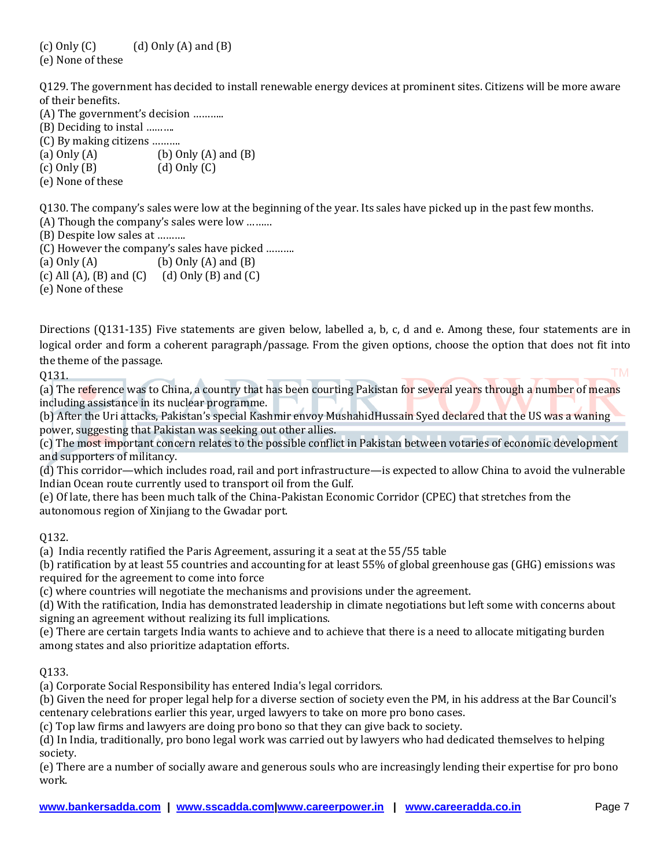(c) Only  $(C)$  (d) Only  $(A)$  and  $(B)$ (e) None of these

Q129. The government has decided to install renewable energy devices at prominent sites. Citizens will be more aware of their benefits.

(A) The government's decision ……….. (B) Deciding to instal ………. (C) By making citizens ………. (a)  $Only (A)$  (b)  $Only (A)$  and  $(B)$  $(c)$  Only  $(B)$  (d) Only  $(C)$ (e) None of these

Q130. The company's sales were low at the beginning of the year. Its sales have picked up in the past few months.

(A) Though the company's sales were low ………

(B) Despite low sales at ……….

(C) However the company's sales have picked ……….

(a)  $Only (A)$  (b)  $Only (A)$  and  $(B)$ 

(c) All  $(A)$ ,  $(B)$  and  $(C)$  (d) Only  $(B)$  and  $(C)$ 

(e) None of these

Directions (Q131-135) Five statements are given below, labelled a, b, c, d and e. Among these, four statements are in logical order and form a coherent paragraph/passage. From the given options, choose the option that does not fit into the theme of the passage. **TM** 

Q131.

(a) The reference was to China, a country that has been courting Pakistan for several years through a number of means including assistance in its nuclear programme.

(b) After the Uri attacks, Pakistan's special Kashmir envoy MushahidHussain Syed declared that the US was a waning power, suggesting that Pakistan was seeking out other allies.

(c) The most important concern relates to the possible conflict in Pakistan between votaries of economic development and supporters of militancy.

(d) This corridor—which includes road, rail and port infrastructure—is expected to allow China to avoid the vulnerable Indian Ocean route currently used to transport oil from the Gulf.

(e) Of late, there has been much talk of the China-Pakistan Economic Corridor (CPEC) that stretches from the autonomous region of Xinjiang to the Gwadar port.

Q132.

(a) India recently ratified the Paris Agreement, assuring it a seat at the 55/55 table

(b) ratification by at least 55 countries and accounting for at least 55% of global greenhouse gas (GHG) emissions was required for the agreement to come into force

(c) where countries will negotiate the mechanisms and provisions under the agreement.

(d) With the ratification, India has demonstrated leadership in climate negotiations but left some with concerns about signing an agreement without realizing its full implications.

(e) There are certain targets India wants to achieve and to achieve that there is a need to allocate mitigating burden among states and also prioritize adaptation efforts.

#### Q133.

(a) Corporate Social Responsibility has entered India's legal corridors.

(b) Given the need for proper legal help for a diverse section of society even the PM, in his address at the Bar Council's centenary celebrations earlier this year, urged lawyers to take on more pro bono cases.

(c) Top law firms and lawyers are doing pro bono so that they can give back to society.

(d) In India, traditionally, pro bono legal work was carried out by lawyers who had dedicated themselves to helping society.

(e) There are a number of socially aware and generous souls who are increasingly lending their expertise for pro bono work.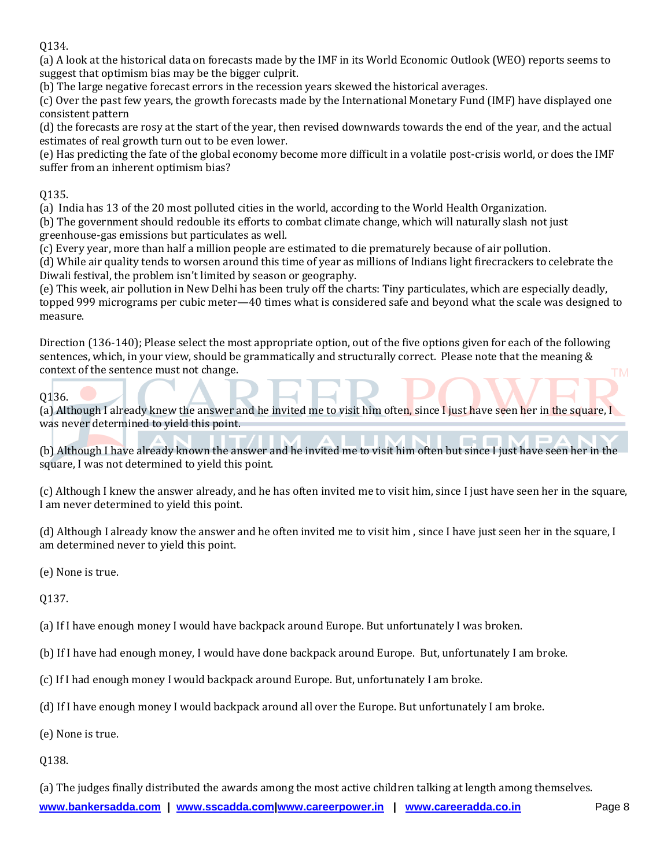Q134.

(a) A look at the historical data on forecasts made by the IMF in its World Economic Outlook (WEO) reports seems to suggest that optimism bias may be the bigger culprit.

(b) The large negative forecast errors in the recession years skewed the historical averages.

(c) Over the past few years, the growth forecasts made by the International Monetary Fund (IMF) have displayed one consistent pattern

(d) the forecasts are rosy at the start of the year, then revised downwards towards the end of the year, and the actual estimates of real growth turn out to be even lower.

(e) Has predicting the fate of the global economy become more difficult in a volatile post-crisis world, or does the IMF suffer from an inherent optimism bias?

### Q135.

(a) India has 13 of the 20 most polluted cities in the world, according to the World Health Organization.

(b) The government should redouble its efforts to combat climate change, which will naturally slash not just greenhouse-gas emissions but particulates as well.

(c) Every year, more than half a million people are estimated to die prematurely because of air pollution.

(d) While air quality tends to worsen around this time of year as millions of Indians light firecrackers to celebrate the Diwali festival, the problem isn't limited by season or geography.

(e) This week, air pollution in New Delhi has been truly off the charts: Tiny particulates, which are especially deadly, topped 999 micrograms per cubic meter—40 times what is considered safe and beyond what the scale was designed to measure.

Direction (136-140); Please select the most appropriate option, out of the five options given for each of the following sentences, which, in your view, should be grammatically and structurally correct. Please note that the meaning & context of the sentence must not change. **TM** 

Q136.

(a) Although I already knew the answer and he invited me to visit him often, since I just have seen her in the square, I was never determined to yield this point.

(b) Although I have already known the answer and he invited me to visit him often but since I just have seen her in the square, I was not determined to yield this point.

(c) Although I knew the answer already, and he has often invited me to visit him, since I just have seen her in the square, I am never determined to yield this point.

(d) Although I already know the answer and he often invited me to visit him , since I have just seen her in the square, I am determined never to yield this point.

(e) None is true.

Q137.

(a) If I have enough money I would have backpack around Europe. But unfortunately I was broken.

(b) If I have had enough money, I would have done backpack around Europe. But, unfortunately I am broke.

(c) If I had enough money I would backpack around Europe. But, unfortunately I am broke.

(d) If I have enough money I would backpack around all over the Europe. But unfortunately I am broke.

(e) None is true.

Q138.

(a) The judges finally distributed the awards among the most active children talking at length among themselves.